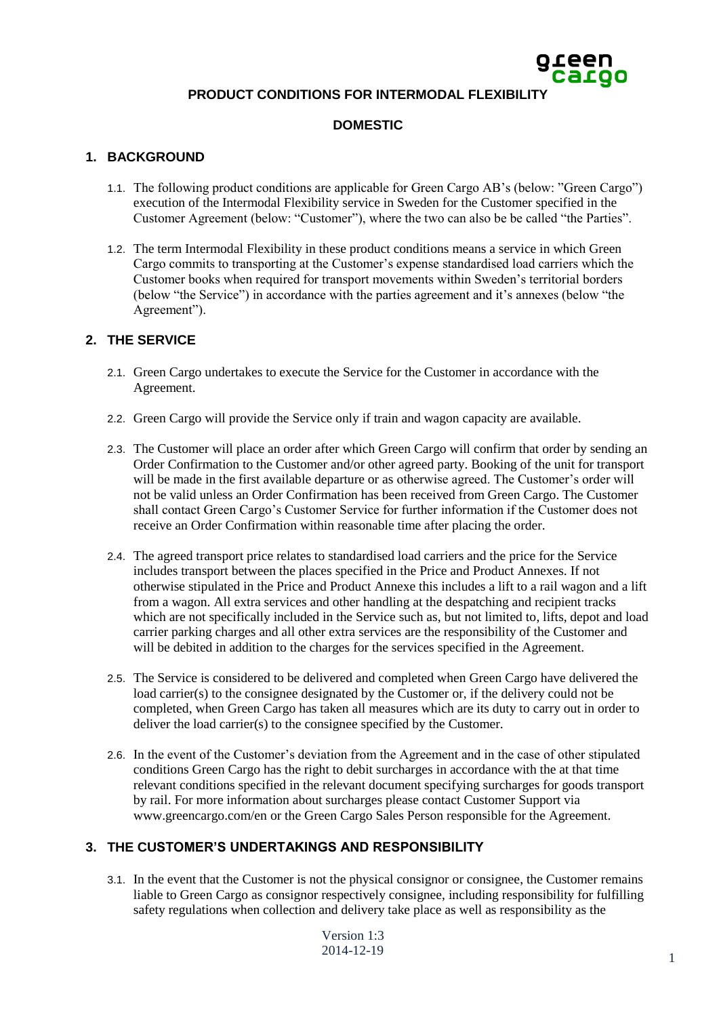# **PRODUCT CONDITIONS FOR INTERMODAL FLEXIBILIT**

### **DOMESTIC**

### **1. BACKGROUND**

- 1.1. The following product conditions are applicable for Green Cargo AB's (below: "Green Cargo") execution of the Intermodal Flexibility service in Sweden for the Customer specified in the Customer Agreement (below: "Customer"), where the two can also be be called "the Parties".
- 1.2. The term Intermodal Flexibility in these product conditions means a service in which Green Cargo commits to transporting at the Customer's expense standardised load carriers which the Customer books when required for transport movements within Sweden's territorial borders (below "the Service") in accordance with the parties agreement and it's annexes (below "the Agreement").

## **2. THE SERVICE**

- 2.1. Green Cargo undertakes to execute the Service for the Customer in accordance with the Agreement.
- 2.2. Green Cargo will provide the Service only if train and wagon capacity are available.
- 2.3. The Customer will place an order after which Green Cargo will confirm that order by sending an Order Confirmation to the Customer and/or other agreed party. Booking of the unit for transport will be made in the first available departure or as otherwise agreed. The Customer's order will not be valid unless an Order Confirmation has been received from Green Cargo. The Customer shall contact Green Cargo's Customer Service for further information if the Customer does not receive an Order Confirmation within reasonable time after placing the order.
- 2.4. The agreed transport price relates to standardised load carriers and the price for the Service includes transport between the places specified in the Price and Product Annexes. If not otherwise stipulated in the Price and Product Annexe this includes a lift to a rail wagon and a lift from a wagon. All extra services and other handling at the despatching and recipient tracks which are not specifically included in the Service such as, but not limited to, lifts, depot and load carrier parking charges and all other extra services are the responsibility of the Customer and will be debited in addition to the charges for the services specified in the Agreement.
- 2.5. The Service is considered to be delivered and completed when Green Cargo have delivered the load carrier(s) to the consignee designated by the Customer or, if the delivery could not be completed, when Green Cargo has taken all measures which are its duty to carry out in order to deliver the load carrier(s) to the consignee specified by the Customer.
- 2.6. In the event of the Customer's deviation from the Agreement and in the case of other stipulated conditions Green Cargo has the right to debit surcharges in accordance with the at that time relevant conditions specified in the relevant document specifying surcharges for goods transport by rail. For more information about surcharges please contact Customer Support via www.greencargo.com/en or the Green Cargo Sales Person responsible for the Agreement.

# **3. THE CUSTOMER'S UNDERTAKINGS AND RESPONSIBILITY**

3.1. In the event that the Customer is not the physical consignor or consignee, the Customer remains liable to Green Cargo as consignor respectively consignee, including responsibility for fulfilling safety regulations when collection and delivery take place as well as responsibility as the

Version 1:3 2014-12-19 <sup>1</sup>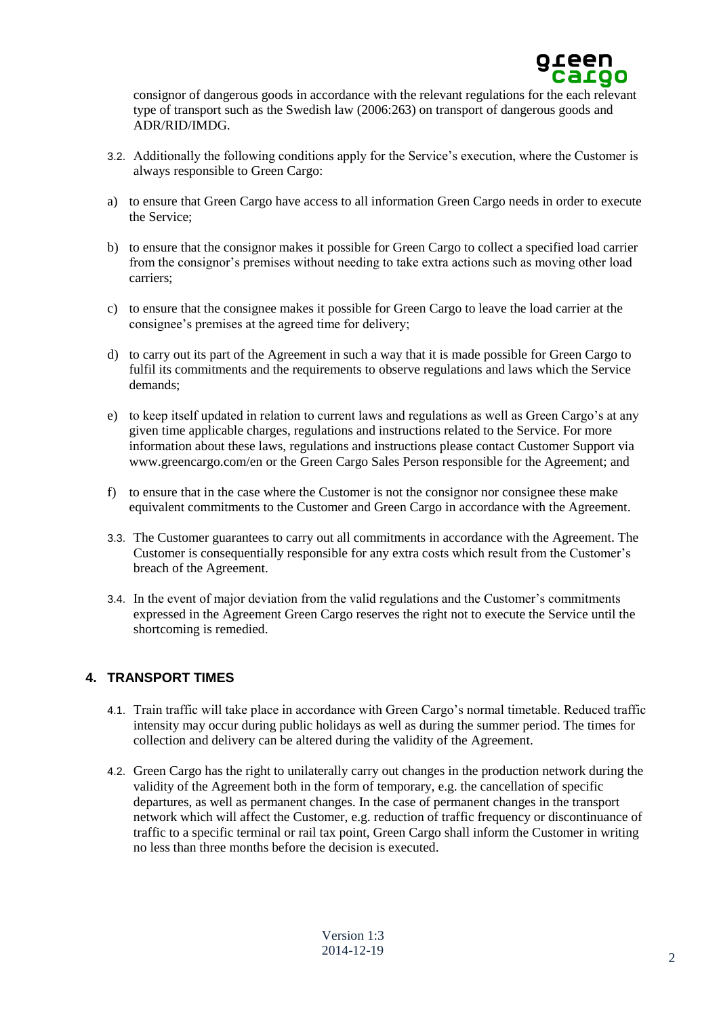

consignor of dangerous goods in accordance with the relevant regulations for the each relevant type of transport such as the Swedish law (2006:263) on transport of dangerous goods and ADR/RID/IMDG.

- 3.2. Additionally the following conditions apply for the Service's execution, where the Customer is always responsible to Green Cargo:
- a) to ensure that Green Cargo have access to all information Green Cargo needs in order to execute the Service;
- b) to ensure that the consignor makes it possible for Green Cargo to collect a specified load carrier from the consignor's premises without needing to take extra actions such as moving other load carriers;
- c) to ensure that the consignee makes it possible for Green Cargo to leave the load carrier at the consignee's premises at the agreed time for delivery;
- d) to carry out its part of the Agreement in such a way that it is made possible for Green Cargo to fulfil its commitments and the requirements to observe regulations and laws which the Service demands;
- e) to keep itself updated in relation to current laws and regulations as well as Green Cargo's at any given time applicable charges, regulations and instructions related to the Service. For more information about these laws, regulations and instructions please contact Customer Support via www.greencargo.com/en or the Green Cargo Sales Person responsible for the Agreement; and
- f) to ensure that in the case where the Customer is not the consignor nor consignee these make equivalent commitments to the Customer and Green Cargo in accordance with the Agreement.
- 3.3. The Customer guarantees to carry out all commitments in accordance with the Agreement. The Customer is consequentially responsible for any extra costs which result from the Customer's breach of the Agreement.
- 3.4. In the event of major deviation from the valid regulations and the Customer's commitments expressed in the Agreement Green Cargo reserves the right not to execute the Service until the shortcoming is remedied.

### **4. TRANSPORT TIMES**

- 4.1. Train traffic will take place in accordance with Green Cargo's normal timetable. Reduced traffic intensity may occur during public holidays as well as during the summer period. The times for collection and delivery can be altered during the validity of the Agreement.
- 4.2. Green Cargo has the right to unilaterally carry out changes in the production network during the validity of the Agreement both in the form of temporary, e.g. the cancellation of specific departures, as well as permanent changes. In the case of permanent changes in the transport network which will affect the Customer, e.g. reduction of traffic frequency or discontinuance of traffic to a specific terminal or rail tax point, Green Cargo shall inform the Customer in writing no less than three months before the decision is executed.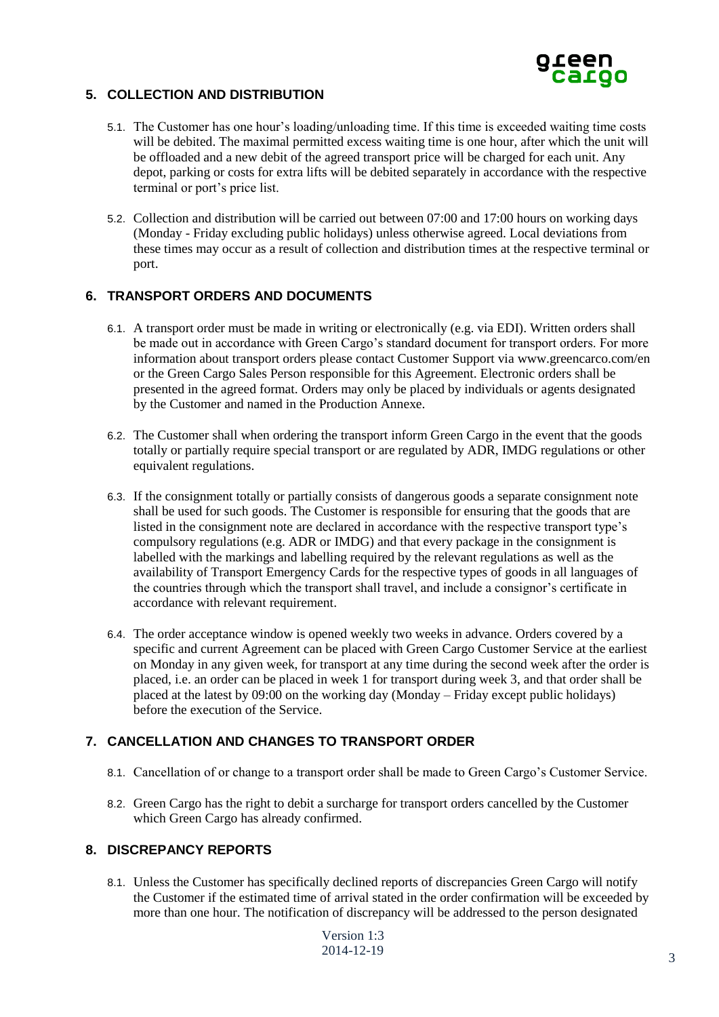

## **5. COLLECTION AND DISTRIBUTION**

- 5.1. The Customer has one hour's loading/unloading time. If this time is exceeded waiting time costs will be debited. The maximal permitted excess waiting time is one hour, after which the unit will be offloaded and a new debit of the agreed transport price will be charged for each unit. Any depot, parking or costs for extra lifts will be debited separately in accordance with the respective terminal or port's price list.
- 5.2. Collection and distribution will be carried out between 07:00 and 17:00 hours on working days (Monday - Friday excluding public holidays) unless otherwise agreed. Local deviations from these times may occur as a result of collection and distribution times at the respective terminal or port.

### **6. TRANSPORT ORDERS AND DOCUMENTS**

- 6.1. A transport order must be made in writing or electronically (e.g. via EDI). Written orders shall be made out in accordance with Green Cargo's standard document for transport orders. For more information about transport orders please contact Customer Support via www.greencarco.com/en or the Green Cargo Sales Person responsible for this Agreement. Electronic orders shall be presented in the agreed format. Orders may only be placed by individuals or agents designated by the Customer and named in the Production Annexe.
- 6.2. The Customer shall when ordering the transport inform Green Cargo in the event that the goods totally or partially require special transport or are regulated by ADR, IMDG regulations or other equivalent regulations.
- 6.3. If the consignment totally or partially consists of dangerous goods a separate consignment note shall be used for such goods. The Customer is responsible for ensuring that the goods that are listed in the consignment note are declared in accordance with the respective transport type's compulsory regulations (e.g. ADR or IMDG) and that every package in the consignment is labelled with the markings and labelling required by the relevant regulations as well as the availability of Transport Emergency Cards for the respective types of goods in all languages of the countries through which the transport shall travel, and include a consignor's certificate in accordance with relevant requirement.
- 6.4. The order acceptance window is opened weekly two weeks in advance. Orders covered by a specific and current Agreement can be placed with Green Cargo Customer Service at the earliest on Monday in any given week, for transport at any time during the second week after the order is placed, i.e. an order can be placed in week 1 for transport during week 3, and that order shall be placed at the latest by 09:00 on the working day (Monday – Friday except public holidays) before the execution of the Service.

### **7. CANCELLATION AND CHANGES TO TRANSPORT ORDER**

- 8.1. Cancellation of or change to a transport order shall be made to Green Cargo's Customer Service.
- 8.2. Green Cargo has the right to debit a surcharge for transport orders cancelled by the Customer which Green Cargo has already confirmed.

### **8. DISCREPANCY REPORTS**

8.1. Unless the Customer has specifically declined reports of discrepancies Green Cargo will notify the Customer if the estimated time of arrival stated in the order confirmation will be exceeded by more than one hour. The notification of discrepancy will be addressed to the person designated

Version 1:3 2014-12-19 3